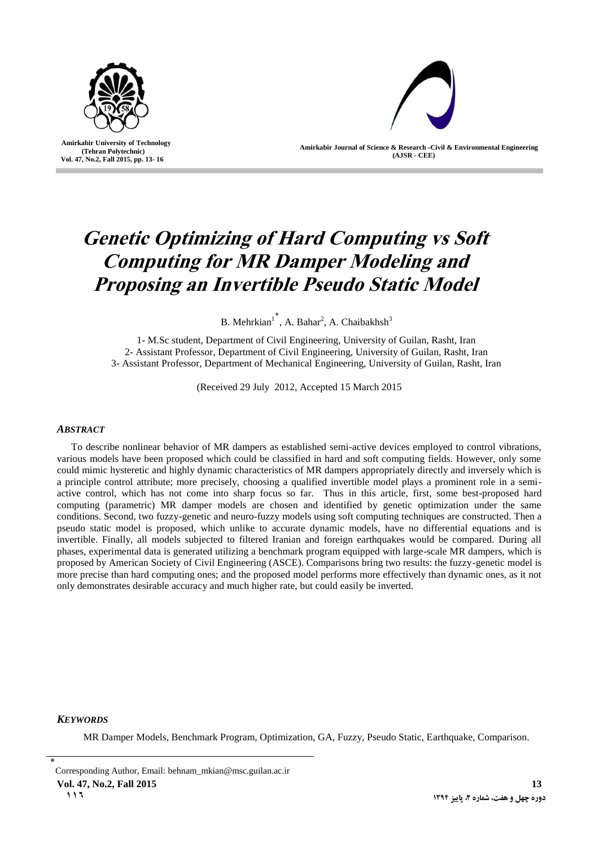

 **Amirkabir University of Technology (Tehran Polytechnic) Vol. 47, No.2, Fall 2015, pp. 13- 16**

I



**Amirkabir Journal of Science & Research -Civil & Environmental Engineering (AJSR - CEE)**

# **Genetic Optimizing of Hard Computing vs Soft Computing for MR Damper Modeling and Proposing an Invertible Pseudo Static Model**

B. Mehrkian<sup>1</sup><sup>\*</sup>, A. Bahar<sup>2</sup>, A. Chaibakhsh<sup>3</sup>

1- M.Sc student, Department of Civil Engineering, University of Guilan, Rasht, Iran 2- Assistant Professor, Department of Civil Engineering, University of Guilan, Rasht, Iran 3- Assistant Professor, Department of Mechanical Engineering, University of Guilan, Rasht, Iran

(Received 29 July 2012, Accepted 15 March 2015

# *ABSTRACT*

To describe nonlinear behavior of MR dampers as established semi-active devices employed to control vibrations, various models have been proposed which could be classified in hard and soft computing fields. However, only some could mimic hysteretic and highly dynamic characteristics of MR dampers appropriately directly and inversely which is a principle control attribute; more precisely, choosing a qualified invertible model plays a prominent role in a semiactive control, which has not come into sharp focus so far. Thus in this article, first, some best-proposed hard computing (parametric) MR damper models are chosen and identified by genetic optimization under the same conditions. Second, two fuzzy-genetic and neuro-fuzzy models using soft computing techniques are constructed. Then a pseudo static model is proposed, which unlike to accurate dynamic models, have no differential equations and is invertible. Finally, all models subjected to filtered Iranian and foreign earthquakes would be compared. During all phases, experimental data is generated utilizing a benchmark program equipped with large-scale MR dampers, which is proposed by American Society of Civil Engineering (ASCE). Comparisons bring two results: the fuzzy-genetic model is more precise than hard computing ones; and the proposed model performs more effectively than dynamic ones, as it not only demonstrates desirable accuracy and much higher rate, but could easily be inverted.

#### *KEYWORDS*

MR Damper Models, Benchmark Program, Optimization, GA, Fuzzy, Pseudo Static, Earthquake, Comparison.

<sup>٭</sup> Corresponding Author, Email: behnam\_mkian@msc.guilan.ac.ir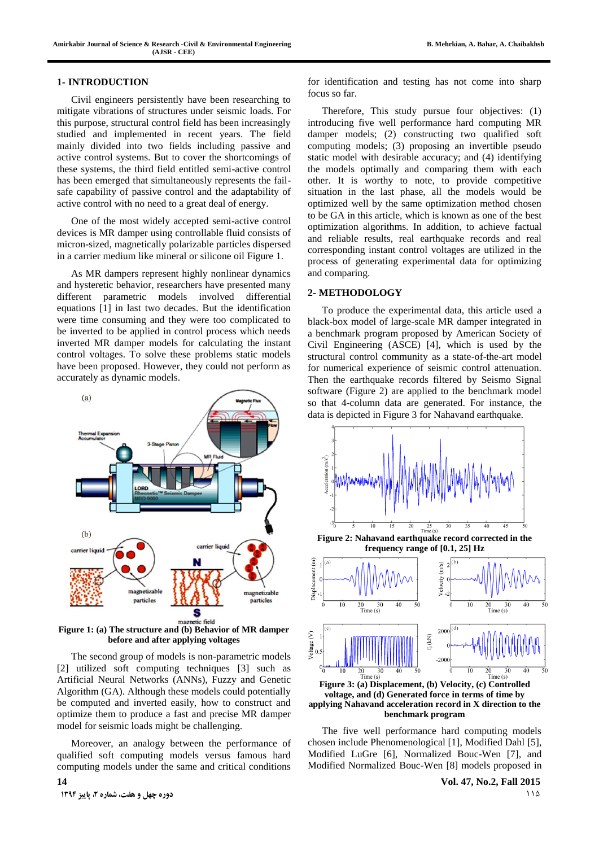### **1- INTRODUCTION**

Civil engineers persistently have been researching to mitigate vibrations of structures under seismic loads. For this purpose, structural control field has been increasingly studied and implemented in recent years. The field mainly divided into two fields including passive and active control systems. But to cover the shortcomings of these systems, the third field entitled semi-active control has been emerged that simultaneously represents the failsafe capability of passive control and the adaptability of active control with no need to a great deal of energy.

One of the most widely accepted semi-active control devices is MR damper using controllable fluid consists of micron-sized, magnetically polarizable particles dispersed in a carrier medium like mineral or silicone oil [Figure 1.](#page-1-0) 

As MR dampers represent highly nonlinear dynamics and hysteretic behavior, researchers have presented many different parametric models involved differential equations [\[1\]](#page-3-0) in last two decades. But the identification were time consuming and they were too complicated to be inverted to be applied in control process which needs inverted MR damper models for calculating the instant control voltages. To solve these problems static models have been proposed. However, they could not perform as accurately as dynamic models.



<span id="page-1-0"></span>**Figure 1: (a) The structure and (b) Behavior of MR damper before and after applying voltages**

The second group of models is non-parametric models [\[2\]](#page-3-1) utilized soft computing techniques [\[3\]](#page-3-2) such as Artificial Neural Networks (ANNs), Fuzzy and Genetic Algorithm (GA). Although these models could potentially be computed and inverted easily, how to construct and optimize them to produce a fast and precise MR damper model for seismic loads might be challenging.

Moreover, an analogy between the performance of qualified soft computing models versus famous hard computing models under the same and critical conditions

for identification and testing has not come into sharp focus so far.

Therefore, This study pursue four objectives: (1) introducing five well performance hard computing MR damper models; (2) constructing two qualified soft computing models; (3) proposing an invertible pseudo static model with desirable accuracy; and (4) identifying the models optimally and comparing them with each other. It is worthy to note, to provide competitive situation in the last phase, all the models would be optimized well by the same optimization method chosen to be GA in this article, which is known as one of the best optimization algorithms. In addition, to achieve factual and reliable results, real earthquake records and real corresponding instant control voltages are utilized in the process of generating experimental data for optimizing and comparing.

#### **2- METHODOLOGY**

To produce the experimental data, this article used a black-box model of large-scale MR damper integrated in a benchmark program proposed by American Society of Civil Engineering (ASCE) [\[4\]](#page-3-3), which is used by the structural control community as a state-of-the-art model for numerical experience of seismic control attenuation. Then the earthquake records filtered by Seismo Signal software [\(Figure 2\)](#page-1-1) are applied to the benchmark model so that 4-column data are generated. For instance, the data is depicted in [Figure 3](#page-1-2) for Nahavand earthquake.



<span id="page-1-1"></span>

<span id="page-1-2"></span>**voltage, and (d) Generated force in terms of time by applying Nahavand acceleration record in X direction to the benchmark program**

The five well performance hard computing models chosen include Phenomenological [\[1\]](#page-3-0), Modified Dahl [\[5\],](#page-3-4) Modified LuGre [\[6\],](#page-3-5) Normalized Bouc-Wen [\[7\]](#page-3-6), and Modified Normalized Bouc-Wen [\[8\]](#page-3-7) models proposed in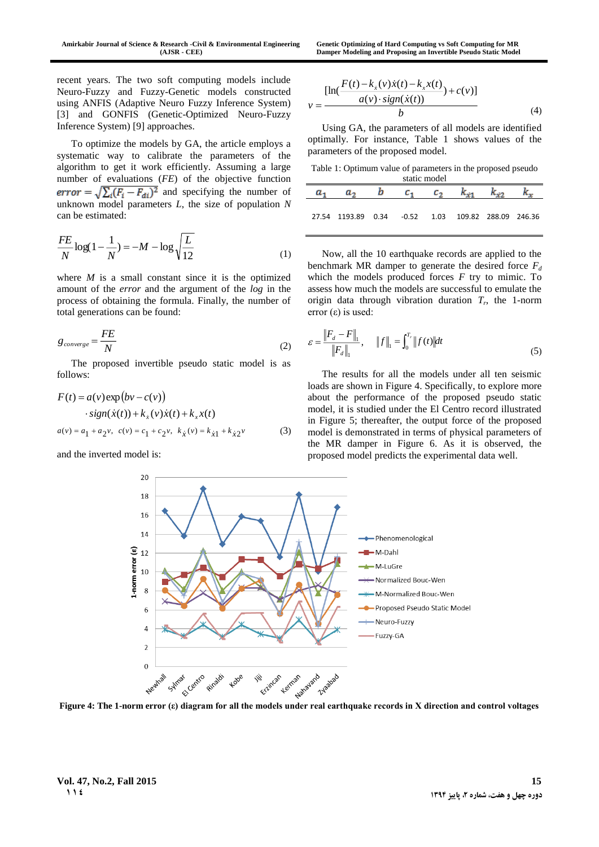recent years. The two soft computing models include Neuro-Fuzzy and Fuzzy-Genetic models constructed using ANFIS (Adaptive Neuro Fuzzy Inference System) [\[3\]](#page-3-2) and GONFIS (Genetic-Optimized Neuro-Fuzzy Inference System) [\[9\]](#page-3-8) approaches.

To optimize the models by GA, the article employs a systematic way to calibrate the parameters of the algorithm to get it work efficiently. Assuming a large number of evaluations (*FE*) of the objective function error =  $\sqrt{\sum_i (F_i - F_{di})^2}$  and specifying the number of unknown model parameters *L*, the size of population *N*  can be estimated:

$$
\frac{FE}{N}\log(1-\frac{1}{N}) = -M - \log\sqrt{\frac{L}{12}}
$$
\n(1)

where  $M$  is a small constant since it is the optimized amount of the *error* and the argument of the *log* in the process of obtaining the formula. Finally, the number of total generations can be found:

$$
g_{\text{converge}} = \frac{FE}{N} \tag{2}
$$

The proposed invertible pseudo static model is as follows:

$$
F(t) = a(v) \exp (bv - c(v))
$$
  
\n
$$
\cdot sign(\dot{x}(t)) + k_{\dot{x}}(v)\dot{x}(t) + k_{x}x(t)
$$
  
\n
$$
a(v) = a_{1} + a_{2}v, \ c(v) = c_{1} + c_{2}v, \ k_{\dot{x}}(v) = k_{\dot{x}1} + k_{\dot{x}2}v
$$
\n(3)

and the inverted model is:

$$
v = \frac{\left[\ln(\frac{F(t) - k_x(v)\dot{x}(t) - k_x x(t)}{a(v) \cdot sign(\dot{x}(t))} + c(v)\right]}{b}
$$
(4)

Using GA, the parameters of all models are identified optimally. For instance, [Table 1](#page-2-0) shows values of the parameters of the proposed model.

<span id="page-2-0"></span>Table 1: Optimum value of parameters in the proposed pseudo

| static model |                                                          |  |           |         |             |  |  |
|--------------|----------------------------------------------------------|--|-----------|---------|-------------|--|--|
|              |                                                          |  | $c_{\pm}$ | $c_{2}$ | $k_{\phi1}$ |  |  |
|              | 27.54 1193.89  0.34  -0.52  1.03  109.82  288.09  246.36 |  |           |         |             |  |  |

Now, all the 10 earthquake records are applied to the benchmark MR damper to generate the desired force  $F_d$ which the models produced forces *F* try to mimic. To assess how much the models are successful to emulate the origin data through vibration duration  $T_r$ , the 1-norm error  $(ε)$  is used:

$$
\varepsilon = \frac{\|F_d - F\|_1}{\|F_d\|_1}, \quad \|f\|_1 = \int_0^{T_r} \|f(t)\| dt \tag{5}
$$

The results for all the models under all ten seismic loads are shown in [Figure 4.](#page-2-1) Specifically, to explore more about the performance of the proposed pseudo static model, it is studied under the El Centro record illustrated in [Figure 5;](#page-3-9) thereafter, the output force of the proposed model is demonstrated in terms of physical parameters of the MR damper in [Figure 6.](#page-3-10) As it is observed, the proposed model predicts the experimental data well.



<span id="page-2-1"></span>**Figure 4: The 1-norm error (ε) diagram for all the models under real earthquake records in X direction and control voltages**